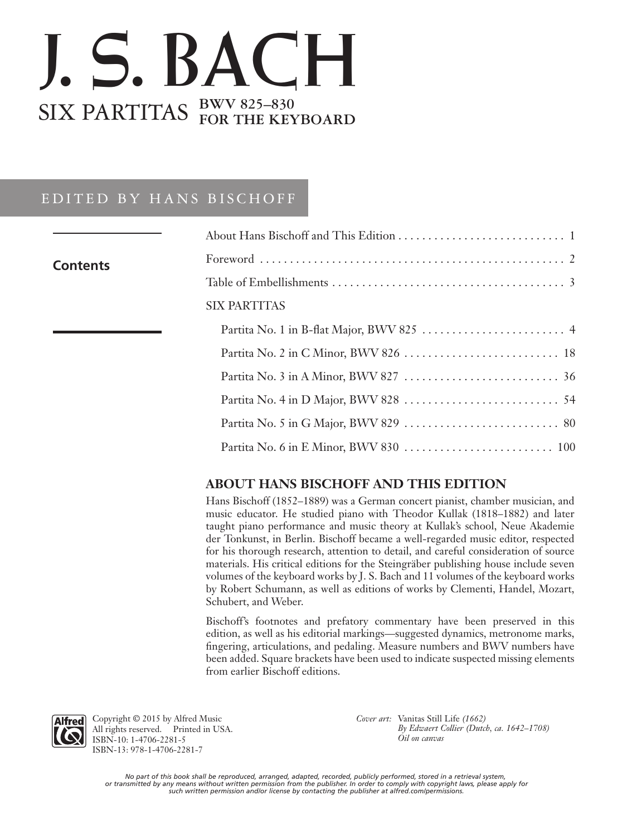## J. S. BACH SIX PARTITAS **BWV 825–830 FOR THE KEYBOARD**

## EDITED BY HANS BISCHOFF

| <b>Contents</b> |                     |
|-----------------|---------------------|
|                 |                     |
|                 | <b>SIX PARTITAS</b> |
|                 |                     |
|                 |                     |
|                 |                     |
|                 |                     |
|                 |                     |
|                 |                     |
|                 |                     |

## **ABOUT HANS BISCHOFF AND THIS EDITION**

Hans Bischoff (1852–1889) was a German concert pianist, chamber musician, and music educator. He studied piano with Theodor Kullak (1818–1882) and later taught piano performance and music theory at Kullak's school, Neue Akademie der Tonkunst, in Berlin. Bischoff became a well-regarded music editor, respected for his thorough research, attention to detail, and careful consideration of source materials. His critical editions for the Steingräber publishing house include seven volumes of the keyboard works by J. S. Bach and 11 volumes of the keyboard works by Robert Schumann, as well as editions of works by Clementi, Handel, Mozart, Schubert, and Weber.

Bischoff's footnotes and prefatory commentary have been preserved in this edition, as well as his editorial markings—suggested dynamics, metronome marks, fingering, articulations, and pedaling. Measure numbers and BWV numbers have been added. Square brackets have been used to indicate suspected missing elements from earlier Bischoff editions.



Copyright © 2015 by Alfred Music All rights reserved. Printed in USA. ISBN-10: 1-4706-2281-5 ISBN-13: 978-1-4706-2281-7

*Cover art:* Vanitas Still Life *(1662) By Edwaert Collier (Dutch, ca. 1642–1708) Oil on canvas*

*No part of this book shall be reproduced, arranged, adapted, recorded, publicly performed, stored in a retrieval system, or transmitted by any means without written permission from the publisher. In order to comply with copyright laws, please apply for such written permission and/or license by contacting the publisher at alfred.com/permissions.*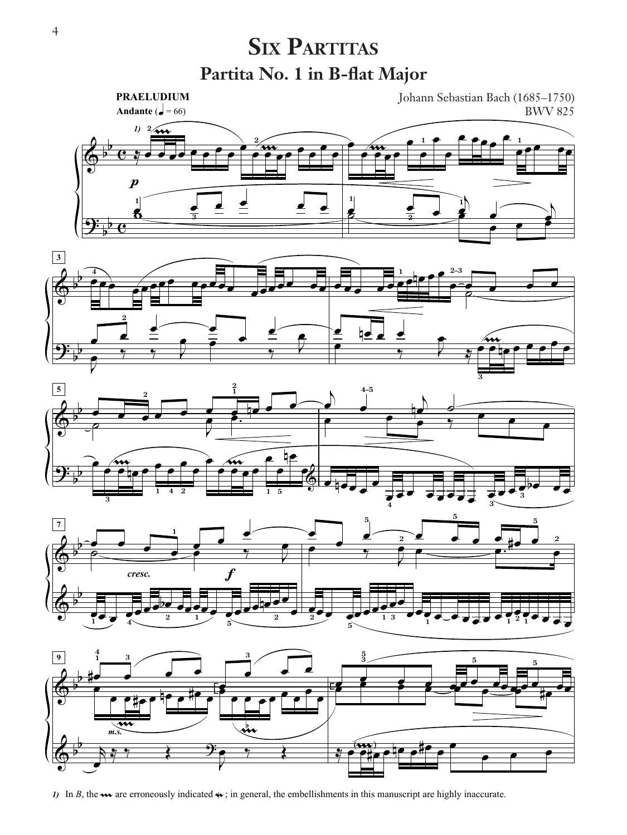## **Partita No. 1 in B-flat Major SIX PARTITAS**



*I*) In *B*, the  $\rightsquigarrow$  are erroneously indicated  $\rightsquigarrow$ ; in general, the embellishments in this manuscript are highly inaccurate.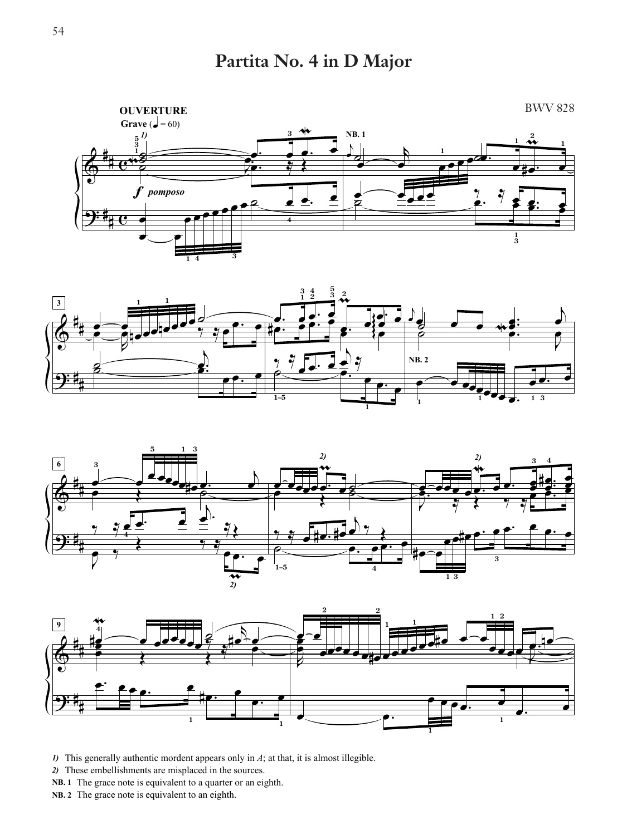Partita No. 4 in D Major









- $I$ ) This generally authentic mordent appears only in  $A$ ; at that, it is almost illegible.
- 2) These embellishments are misplaced in the sources.
- NB. 1 The grace note is equivalent to a quarter or an eighth.
- NB. 2 The grace note is equivalent to an eighth.